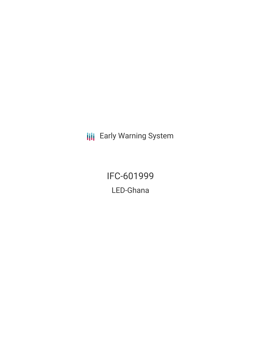**III** Early Warning System

IFC-601999 LED-Ghana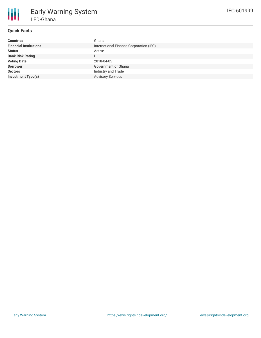

# **Quick Facts**

| <b>Countries</b>              | Ghana                                   |
|-------------------------------|-----------------------------------------|
| <b>Financial Institutions</b> | International Finance Corporation (IFC) |
| <b>Status</b>                 | Active                                  |
| <b>Bank Risk Rating</b>       |                                         |
| <b>Voting Date</b>            | 2018-04-05                              |
| <b>Borrower</b>               | Government of Ghana                     |
| <b>Sectors</b>                | Industry and Trade                      |
| <b>Investment Type(s)</b>     | <b>Advisory Services</b>                |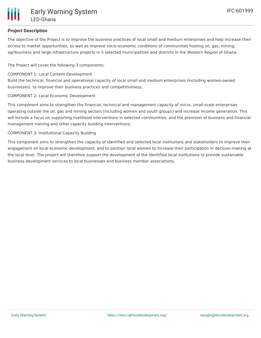

### **Project Description**

The objective of the Project is to improve the business practices of local small and medium enterprises and help increase their access to market opportunities, as well as improve socio-economic conditions of communities hosting oil, gas, mining, agribusiness and large infrastructure projects in 5 selected municipalities and districts in the Western Region of Ghana.

The Project will cover the following 3 components:

#### COMPONENT 1: Local Content Development

Build the technical, financial and operational capacity of local small and medium enterprises (including women-owned businesses), to improve their business practices and competitiveness;

#### COMPONENT 2: Local Economic Development

This component aims to strengthen the financial, technical and management capacity of micro, small-scale enterprises operating outside the oil, gas and mining sectors (including women and youth groups) and increase income generation. This will include a focus on supporting livelihood interventions in selected communities, and the provision of business and financial management training and other capacity building interventions;

#### COMPONENT 3: Institutional Capacity Building

This component aims to strengthen the capacity of identified and selected local institutions and stakeholders to improve their engagement on local economic development, and to position local women to increase their participation in decision-making at the local level. The project will therefore support the development of the identified local institutions to provide sustainable business development services to local businesses and business member associations.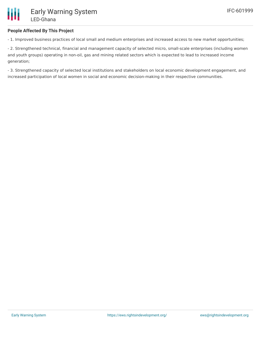### **People Affected By This Project**

- 1. Improved business practices of local small and medium enterprises and increased access to new market opportunities;

- 2. Strengthened technical, financial and management capacity of selected micro, small-scale enterprises (including women and youth groups) operating in non-oil, gas and mining related sectors which is expected to lead to increased income generation;

- 3. Strengthened capacity of selected local institutions and stakeholders on local economic development engagement, and increased participation of local women in social and economic decision-making in their respective communities.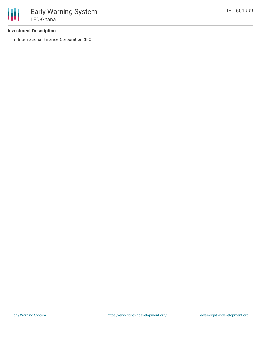### **Investment Description**

• International Finance Corporation (IFC)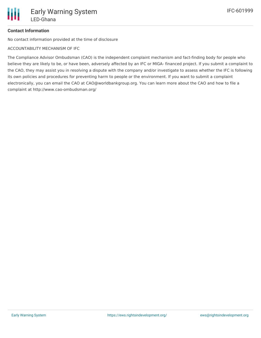## **Contact Information**

No contact information provided at the time of disclosure

ACCOUNTABILITY MECHANISM OF IFC

The Compliance Advisor Ombudsman (CAO) is the independent complaint mechanism and fact-finding body for people who believe they are likely to be, or have been, adversely affected by an IFC or MIGA- financed project. If you submit a complaint to the CAO, they may assist you in resolving a dispute with the company and/or investigate to assess whether the IFC is following its own policies and procedures for preventing harm to people or the environment. If you want to submit a complaint electronically, you can email the CAO at CAO@worldbankgroup.org. You can learn more about the CAO and how to file a complaint at http://www.cao-ombudsman.org/